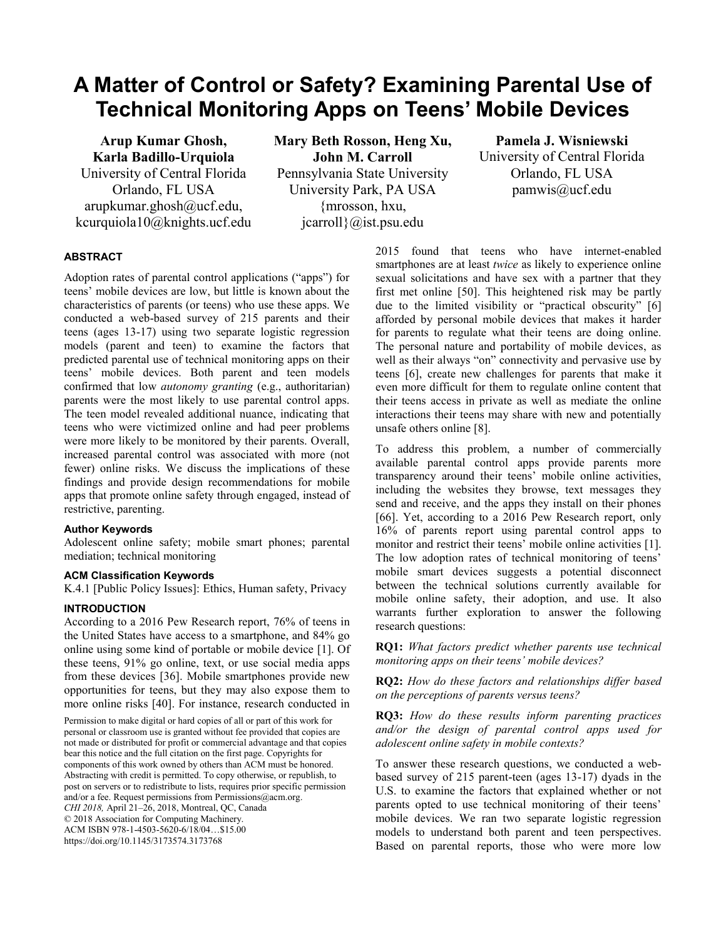# **A Matter of Control or Safety? Examining Parental Use of Technical Monitoring Apps on Teens' Mobile Devices**

**Arup Kumar Ghosh, Karla Badillo-Urquiola** University of Central Florida Orlando, FL USA arupkumar.ghosh@ucf.edu, kcurquiola10@knights.ucf.edu **Mary Beth Rosson, Heng Xu, John M. Carroll** Pennsylvania State University University Park, PA USA {mrosson, hxu, jcarroll}@ist.psu.edu

# **Pamela J. Wisniewski** University of Central Florida Orlando, FL USA pamwis@ucf.edu

#### **ABSTRACT**

Adoption rates of parental control applications ("apps") for teens' mobile devices are low, but little is known about the characteristics of parents (or teens) who use these apps. We conducted a web-based survey of 215 parents and their teens (ages 13-17) using two separate logistic regression models (parent and teen) to examine the factors that predicted parental use of technical monitoring apps on their teens' mobile devices. Both parent and teen models confirmed that low *autonomy granting* (e.g., authoritarian) parents were the most likely to use parental control apps. The teen model revealed additional nuance, indicating that teens who were victimized online and had peer problems were more likely to be monitored by their parents. Overall, increased parental control was associated with more (not fewer) online risks. We discuss the implications of these findings and provide design recommendations for mobile apps that promote online safety through engaged, instead of restrictive, parenting.

#### **Author Keywords**

Adolescent online safety; mobile smart phones; parental mediation; technical monitoring

#### **ACM Classification Keywords**

K.4.1 [Public Policy Issues]: Ethics, Human safety, Privacy

#### **INTRODUCTION**

According to a 2016 Pew Research report, 76% of teens in the United States have access to a smartphone, and 84% go online using some kind of portable or mobile device [1]. Of these teens, 91% go online, text, or use social media apps from these devices [36]. Mobile smartphones provide new opportunities for teens, but they may also expose them to more online risks [40]. For instance, research conducted in

Permission to make digital or hard copies of all or part of this work for personal or classroom use is granted without fee provided that copies are not made or distributed for profit or commercial advantage and that copies bear this notice and the full citation on the first page. Copyrights for components of this work owned by others than ACM must be honored. Abstracting with credit is permitted. To copy otherwise, or republish, to post on servers or to redistribute to lists, requires prior specific permission and/or a fee. Request permissions from Permissions@acm.org. *CHI 2018,* April 21–26, 2018, Montreal, QC, Canada © 2018 Association for Computing Machinery. ACM ISBN 978-1-4503-5620-6/18/04…\$15.00 https://doi.org/10.1145/3173574.3173768

2015 found that teens who have internet-enabled smartphones are at least *twice* as likely to experience online sexual solicitations and have sex with a partner that they first met online [50]. This heightened risk may be partly due to the limited visibility or "practical obscurity" [6] afforded by personal mobile devices that makes it harder for parents to regulate what their teens are doing online. The personal nature and portability of mobile devices, as well as their always "on" connectivity and pervasive use by teens [6], create new challenges for parents that make it even more difficult for them to regulate online content that their teens access in private as well as mediate the online interactions their teens may share with new and potentially unsafe others online [8].

To address this problem, a number of commercially available parental control apps provide parents more transparency around their teens' mobile online activities, including the websites they browse, text messages they send and receive, and the apps they install on their phones [66]. Yet, according to a 2016 Pew Research report, only 16% of parents report using parental control apps to monitor and restrict their teens' mobile online activities [1]. The low adoption rates of technical monitoring of teens' mobile smart devices suggests a potential disconnect between the technical solutions currently available for mobile online safety, their adoption, and use. It also warrants further exploration to answer the following research questions:

**RQ1:** *What factors predict whether parents use technical monitoring apps on their teens' mobile devices?*

**RQ2:** *How do these factors and relationships differ based on the perceptions of parents versus teens?*

**RQ3:** *How do these results inform parenting practices and/or the design of parental control apps used for adolescent online safety in mobile contexts?*

To answer these research questions, we conducted a webbased survey of 215 parent-teen (ages 13-17) dyads in the U.S. to examine the factors that explained whether or not parents opted to use technical monitoring of their teens' mobile devices. We ran two separate logistic regression models to understand both parent and teen perspectives. Based on parental reports, those who were more low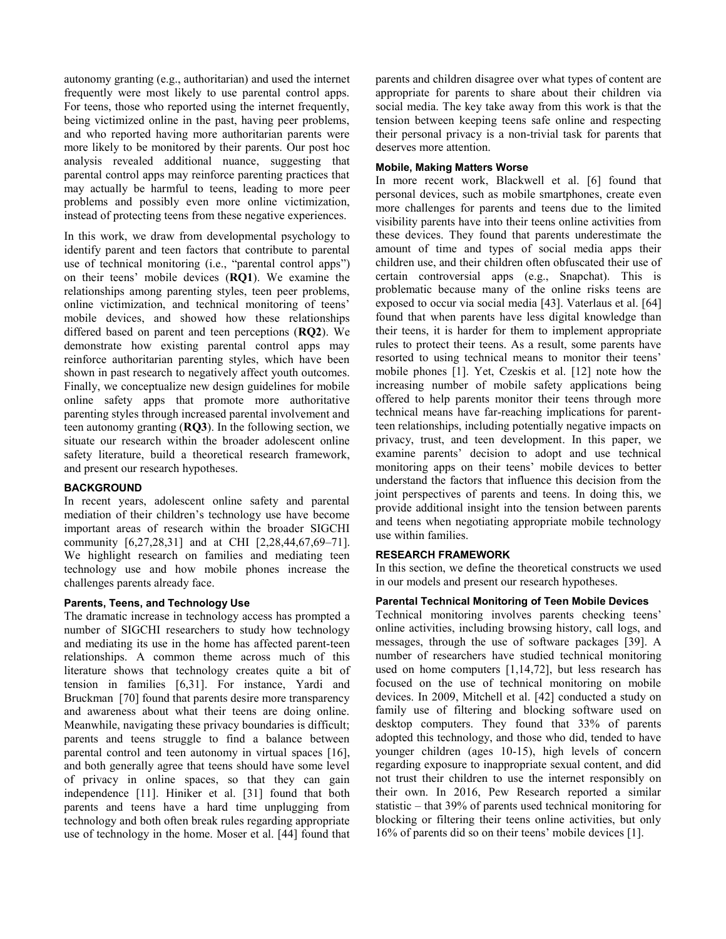autonomy granting (e.g., authoritarian) and used the internet frequently were most likely to use parental control apps. For teens, those who reported using the internet frequently, being victimized online in the past, having peer problems, and who reported having more authoritarian parents were more likely to be monitored by their parents. Our post hoc analysis revealed additional nuance, suggesting that parental control apps may reinforce parenting practices that may actually be harmful to teens, leading to more peer problems and possibly even more online victimization, instead of protecting teens from these negative experiences.

In this work, we draw from developmental psychology to identify parent and teen factors that contribute to parental use of technical monitoring (i.e., "parental control apps") on their teens' mobile devices (**RQ1**). We examine the relationships among parenting styles, teen peer problems, online victimization, and technical monitoring of teens' mobile devices, and showed how these relationships differed based on parent and teen perceptions (**RQ2**). We demonstrate how existing parental control apps may reinforce authoritarian parenting styles, which have been shown in past research to negatively affect youth outcomes. Finally, we conceptualize new design guidelines for mobile online safety apps that promote more authoritative parenting styles through increased parental involvement and teen autonomy granting (**RQ3**). In the following section, we situate our research within the broader adolescent online safety literature, build a theoretical research framework, and present our research hypotheses.

#### **BACKGROUND**

In recent years, adolescent online safety and parental mediation of their children's technology use have become important areas of research within the broader SIGCHI community [6,27,28,31] and at CHI [2,28,44,67,69–71]. We highlight research on families and mediating teen technology use and how mobile phones increase the challenges parents already face.

#### **Parents, Teens, and Technology Use**

The dramatic increase in technology access has prompted a number of SIGCHI researchers to study how technology and mediating its use in the home has affected parent-teen relationships. A common theme across much of this literature shows that technology creates quite a bit of tension in families [6,31]. For instance, Yardi and Bruckman [70] found that parents desire more transparency and awareness about what their teens are doing online. Meanwhile, navigating these privacy boundaries is difficult; parents and teens struggle to find a balance between parental control and teen autonomy in virtual spaces [16], and both generally agree that teens should have some level of privacy in online spaces, so that they can gain independence [11]. Hiniker et al. [31] found that both parents and teens have a hard time unplugging from technology and both often break rules regarding appropriate use of technology in the home. Moser et al. [44] found that

parents and children disagree over what types of content are appropriate for parents to share about their children via social media. The key take away from this work is that the tension between keeping teens safe online and respecting their personal privacy is a non-trivial task for parents that deserves more attention.

#### **Mobile, Making Matters Worse**

In more recent work, Blackwell et al. [6] found that personal devices, such as mobile smartphones, create even more challenges for parents and teens due to the limited visibility parents have into their teens online activities from these devices. They found that parents underestimate the amount of time and types of social media apps their children use, and their children often obfuscated their use of certain controversial apps (e.g., Snapchat). This is problematic because many of the online risks teens are exposed to occur via social media [43]. Vaterlaus et al. [64] found that when parents have less digital knowledge than their teens, it is harder for them to implement appropriate rules to protect their teens. As a result, some parents have resorted to using technical means to monitor their teens' mobile phones [1]. Yet, Czeskis et al. [12] note how the increasing number of mobile safety applications being offered to help parents monitor their teens through more technical means have far-reaching implications for parentteen relationships, including potentially negative impacts on privacy, trust, and teen development. In this paper, we examine parents' decision to adopt and use technical monitoring apps on their teens' mobile devices to better understand the factors that influence this decision from the joint perspectives of parents and teens. In doing this, we provide additional insight into the tension between parents and teens when negotiating appropriate mobile technology use within families.

#### **RESEARCH FRAMEWORK**

In this section, we define the theoretical constructs we used in our models and present our research hypotheses.

#### **Parental Technical Monitoring of Teen Mobile Devices**

Technical monitoring involves parents checking teens' online activities, including browsing history, call logs, and messages, through the use of software packages [39]. A number of researchers have studied technical monitoring used on home computers [1,14,72], but less research has focused on the use of technical monitoring on mobile devices. In 2009, Mitchell et al. [42] conducted a study on family use of filtering and blocking software used on desktop computers. They found that 33% of parents adopted this technology, and those who did, tended to have younger children (ages 10-15), high levels of concern regarding exposure to inappropriate sexual content, and did not trust their children to use the internet responsibly on their own. In 2016, Pew Research reported a similar statistic – that 39% of parents used technical monitoring for blocking or filtering their teens online activities, but only 16% of parents did so on their teens' mobile devices [1].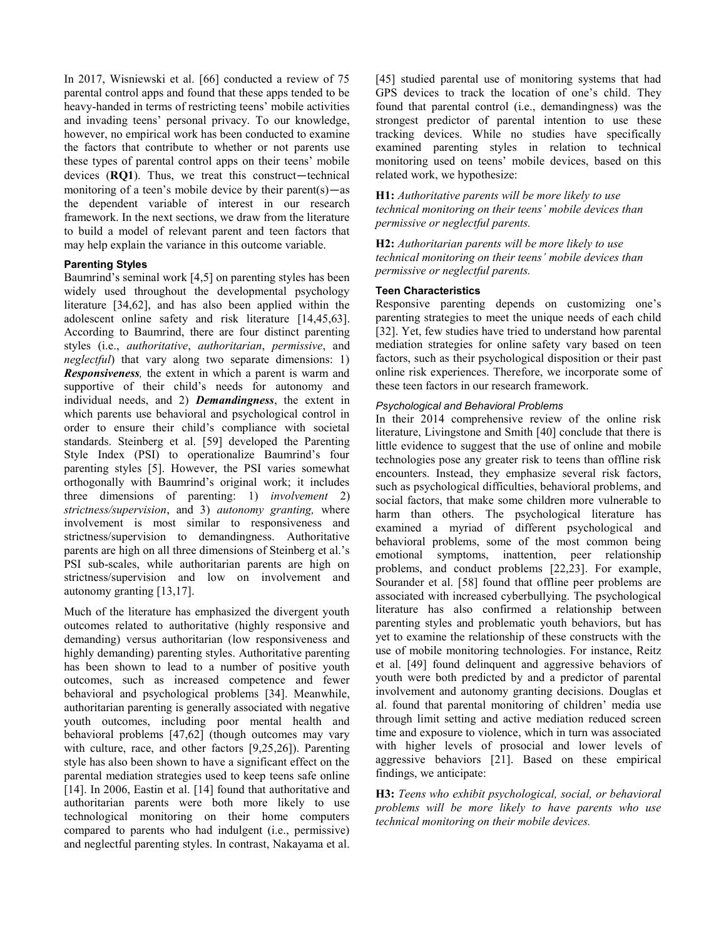In 2017, Wisniewski et al. [66] conducted a review of 75 parental control apps and found that these apps tended to be heavy-handed in terms of restricting teens' mobile activities and invading teens' personal privacy. To our knowledge, however, no empirical work has been conducted to examine the factors that contribute to whether or not parents use these types of parental control apps on their teens' mobile devices (**RQ1**). Thus, we treat this construct—technical monitoring of a teen's mobile device by their parent(s)—as the dependent variable of interest in our research framework. In the next sections, we draw from the literature to build a model of relevant parent and teen factors that may help explain the variance in this outcome variable.

#### **Parenting Styles**

Baumrind's seminal work [4,5] on parenting styles has been widely used throughout the developmental psychology literature [34,62], and has also been applied within the adolescent online safety and risk literature [14,45,63]. According to Baumrind, there are four distinct parenting styles (i.e., *authoritative*, *authoritarian*, *permissive*, and *neglectful*) that vary along two separate dimensions: 1) *Responsiveness,* the extent in which a parent is warm and supportive of their child's needs for autonomy and individual needs, and 2) *Demandingness*, the extent in which parents use behavioral and psychological control in order to ensure their child's compliance with societal standards. Steinberg et al. [59] developed the Parenting Style Index (PSI) to operationalize Baumrind's four parenting styles [5]. However, the PSI varies somewhat orthogonally with Baumrind's original work; it includes three dimensions of parenting: 1) *involvement* 2) *strictness/supervision*, and 3) *autonomy granting,* where involvement is most similar to responsiveness and strictness/supervision to demandingness. Authoritative parents are high on all three dimensions of Steinberg et al.'s PSI sub-scales, while authoritarian parents are high on strictness/supervision and low on involvement and autonomy granting [13,17].

Much of the literature has emphasized the divergent youth outcomes related to authoritative (highly responsive and demanding) versus authoritarian (low responsiveness and highly demanding) parenting styles. Authoritative parenting has been shown to lead to a number of positive youth outcomes, such as increased competence and fewer behavioral and psychological problems [34]. Meanwhile, authoritarian parenting is generally associated with negative youth outcomes, including poor mental health and behavioral problems [47,62] (though outcomes may vary with culture, race, and other factors [9,25,26]). Parenting style has also been shown to have a significant effect on the parental mediation strategies used to keep teens safe online [14]. In 2006, Eastin et al. [14] found that authoritative and authoritarian parents were both more likely to use technological monitoring on their home computers compared to parents who had indulgent (i.e., permissive) and neglectful parenting styles. In contrast, Nakayama et al.

[45] studied parental use of monitoring systems that had GPS devices to track the location of one's child. They found that parental control (i.e., demandingness) was the strongest predictor of parental intention to use these tracking devices. While no studies have specifically examined parenting styles in relation to technical monitoring used on teens' mobile devices, based on this related work, we hypothesize:

**H1:** *Authoritative parents will be more likely to use technical monitoring on their teens' mobile devices than permissive or neglectful parents.*

**H2:** *Authoritarian parents will be more likely to use technical monitoring on their teens' mobile devices than permissive or neglectful parents.*

#### **Teen Characteristics**

Responsive parenting depends on customizing one's parenting strategies to meet the unique needs of each child [32]. Yet, few studies have tried to understand how parental mediation strategies for online safety vary based on teen factors, such as their psychological disposition or their past online risk experiences. Therefore, we incorporate some of these teen factors in our research framework.

#### *Psychological and Behavioral Problems*

In their 2014 comprehensive review of the online risk literature, Livingstone and Smith [40] conclude that there is little evidence to suggest that the use of online and mobile technologies pose any greater risk to teens than offline risk encounters. Instead, they emphasize several risk factors, such as psychological difficulties, behavioral problems, and social factors, that make some children more vulnerable to harm than others. The psychological literature has examined a myriad of different psychological and behavioral problems, some of the most common being emotional symptoms, inattention, peer relationship problems, and conduct problems [22,23]. For example, Sourander et al. [58] found that offline peer problems are associated with increased cyberbullying. The psychological literature has also confirmed a relationship between parenting styles and problematic youth behaviors, but has yet to examine the relationship of these constructs with the use of mobile monitoring technologies. For instance, Reitz et al. [49] found delinquent and aggressive behaviors of youth were both predicted by and a predictor of parental involvement and autonomy granting decisions. Douglas et al. found that parental monitoring of children' media use through limit setting and active mediation reduced screen time and exposure to violence, which in turn was associated with higher levels of prosocial and lower levels of aggressive behaviors [21]. Based on these empirical findings, we anticipate:

**H3:** *Teens who exhibit psychological, social, or behavioral problems will be more likely to have parents who use technical monitoring on their mobile devices.*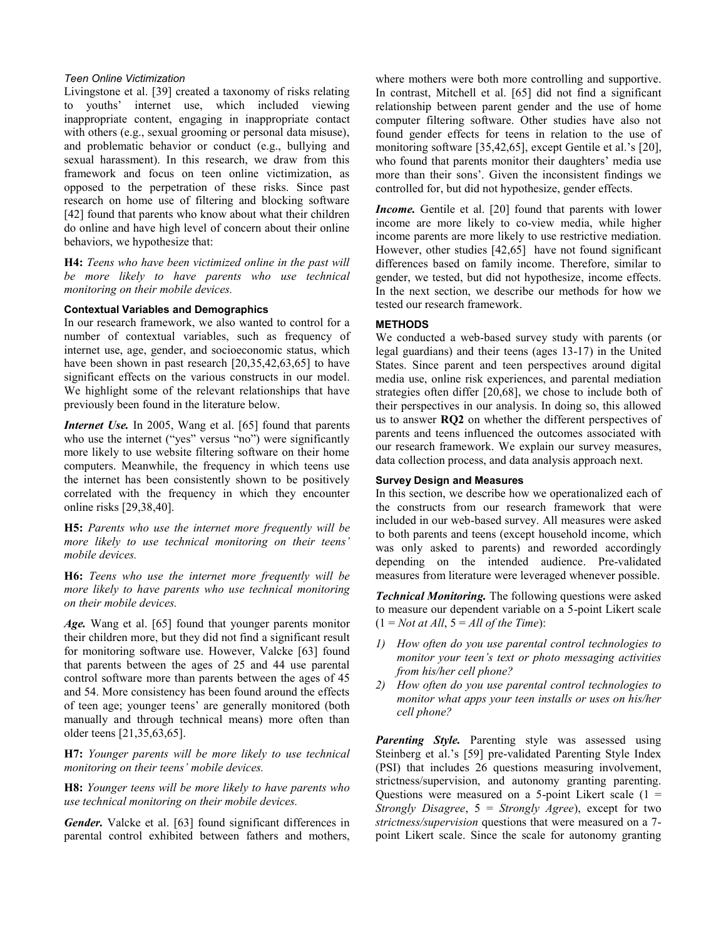#### *Teen Online Victimization*

Livingstone et al. [39] created a taxonomy of risks relating to youths' internet use, which included viewing inappropriate content, engaging in inappropriate contact with others (e.g., sexual grooming or personal data misuse). and problematic behavior or conduct (e.g., bullying and sexual harassment). In this research, we draw from this framework and focus on teen online victimization, as opposed to the perpetration of these risks. Since past research on home use of filtering and blocking software [42] found that parents who know about what their children do online and have high level of concern about their online behaviors, we hypothesize that:

**H4:** *Teens who have been victimized online in the past will be more likely to have parents who use technical monitoring on their mobile devices.*

#### **Contextual Variables and Demographics**

In our research framework, we also wanted to control for a number of contextual variables, such as frequency of internet use, age, gender, and socioeconomic status, which have been shown in past research [20,35,42,63,65] to have significant effects on the various constructs in our model. We highlight some of the relevant relationships that have previously been found in the literature below.

*Internet Use.* In 2005, Wang et al. [65] found that parents who use the internet ("yes" versus "no") were significantly more likely to use website filtering software on their home computers. Meanwhile, the frequency in which teens use the internet has been consistently shown to be positively correlated with the frequency in which they encounter online risks [29,38,40].

**H5:** *Parents who use the internet more frequently will be more likely to use technical monitoring on their teens' mobile devices.*

**H6:** *Teens who use the internet more frequently will be more likely to have parents who use technical monitoring on their mobile devices.*

*Age.* Wang et al. [65] found that younger parents monitor their children more, but they did not find a significant result for monitoring software use. However, Valcke [63] found that parents between the ages of 25 and 44 use parental control software more than parents between the ages of 45 and 54. More consistency has been found around the effects of teen age; younger teens' are generally monitored (both manually and through technical means) more often than older teens [21,35,63,65].

**H7:** *Younger parents will be more likely to use technical monitoring on their teens' mobile devices.*

**H8:** *Younger teens will be more likely to have parents who use technical monitoring on their mobile devices.*

*Gender.* Valcke et al. [63] found significant differences in parental control exhibited between fathers and mothers,

where mothers were both more controlling and supportive. In contrast, Mitchell et al. [65] did not find a significant relationship between parent gender and the use of home computer filtering software. Other studies have also not found gender effects for teens in relation to the use of monitoring software [35,42,65], except Gentile et al.'s [20], who found that parents monitor their daughters' media use more than their sons'. Given the inconsistent findings we controlled for, but did not hypothesize, gender effects.

*Income.* Gentile et al. [20] found that parents with lower income are more likely to co-view media, while higher income parents are more likely to use restrictive mediation. However, other studies [42,65] have not found significant differences based on family income. Therefore, similar to gender, we tested, but did not hypothesize, income effects. In the next section, we describe our methods for how we tested our research framework.

#### **METHODS**

We conducted a web-based survey study with parents (or legal guardians) and their teens (ages 13-17) in the United States. Since parent and teen perspectives around digital media use, online risk experiences, and parental mediation strategies often differ [20,68], we chose to include both of their perspectives in our analysis. In doing so, this allowed us to answer **RQ2** on whether the different perspectives of parents and teens influenced the outcomes associated with our research framework. We explain our survey measures, data collection process, and data analysis approach next.

#### **Survey Design and Measures**

In this section, we describe how we operationalized each of the constructs from our research framework that were included in our web-based survey. All measures were asked to both parents and teens (except household income, which was only asked to parents) and reworded accordingly depending on the intended audience. Pre-validated measures from literature were leveraged whenever possible.

*Technical Monitoring.* The following questions were asked to measure our dependent variable on a 5-point Likert scale  $(1 = Not at All, 5 = All of the Time):$ 

- *1) How often do you use parental control technologies to monitor your teen's text or photo messaging activities from his/her cell phone?*
- *2) How often do you use parental control technologies to monitor what apps your teen installs or uses on his/her cell phone?*

*Parenting Style.* Parenting style was assessed using Steinberg et al.'s [59] pre-validated Parenting Style Index (PSI) that includes 26 questions measuring involvement, strictness/supervision, and autonomy granting parenting. Questions were measured on a 5-point Likert scale  $(1 =$ *Strongly Disagree*, 5 = *Strongly Agree*), except for two *strictness/supervision* questions that were measured on a 7 point Likert scale. Since the scale for autonomy granting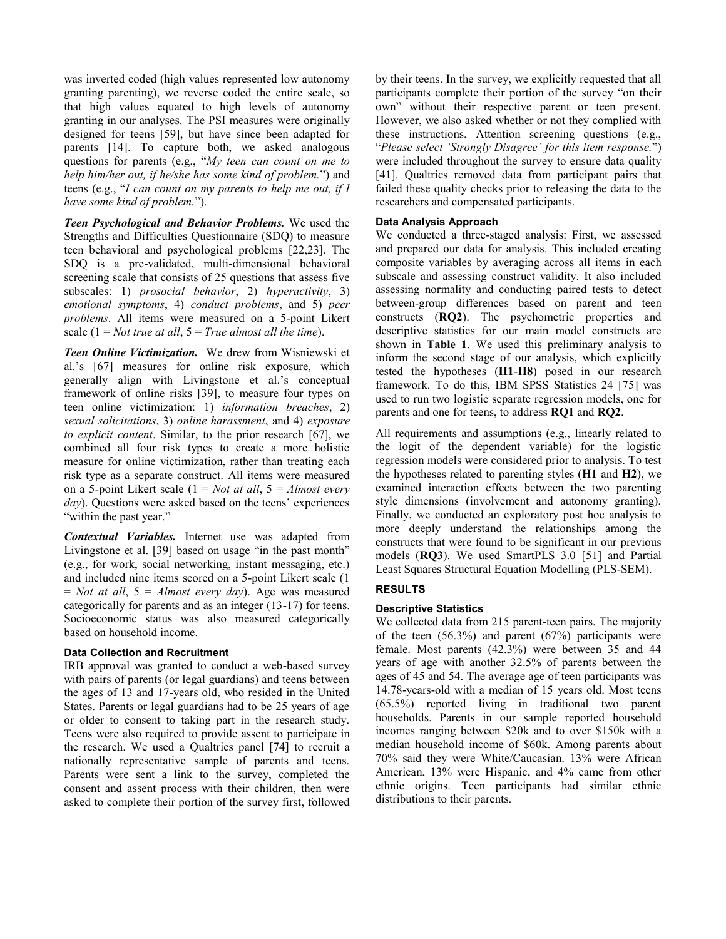was inverted coded (high values represented low autonomy granting parenting), we reverse coded the entire scale, so that high values equated to high levels of autonomy granting in our analyses. The PSI measures were originally designed for teens [59], but have since been adapted for parents [14]. To capture both, we asked analogous questions for parents (e.g., "*My teen can count on me to help him/her out, if he/she has some kind of problem.*") and teens (e.g., "*I can count on my parents to help me out, if I have some kind of problem.*").

*Teen Psychological and Behavior Problems.* We used the Strengths and Difficulties Questionnaire (SDQ) to measure teen behavioral and psychological problems [22,23]. The SDQ is a pre-validated, multi-dimensional behavioral screening scale that consists of 25 questions that assess five subscales: 1) *prosocial behavior*, 2) *hyperactivity*, 3) *emotional symptoms*, 4) *conduct problems*, and 5) *peer problems*. All items were measured on a 5-point Likert scale (1 = *Not true at all*, 5 = *True almost all the time*).

*Teen Online Victimization.* We drew from Wisniewski et al.'s [67] measures for online risk exposure, which generally align with Livingstone et al.'s conceptual framework of online risks [39], to measure four types on teen online victimization: 1) *information breaches*, 2) *sexual solicitations*, 3) *online harassment*, and 4) *exposure to explicit content*. Similar, to the prior research [67], we combined all four risk types to create a more holistic measure for online victimization, rather than treating each risk type as a separate construct. All items were measured on a 5-point Likert scale (1 = *Not at all*, 5 = *Almost every day*). Questions were asked based on the teens' experiences "within the past year."

*Contextual Variables.* Internet use was adapted from Livingstone et al. [39] based on usage "in the past month" (e.g., for work, social networking, instant messaging, etc.) and included nine items scored on a 5-point Likert scale (1 = *Not at all*, 5 = *Almost every day*). Age was measured categorically for parents and as an integer (13-17) for teens. Socioeconomic status was also measured categorically based on household income.

#### **Data Collection and Recruitment**

IRB approval was granted to conduct a web-based survey with pairs of parents (or legal guardians) and teens between the ages of 13 and 17-years old, who resided in the United States. Parents or legal guardians had to be 25 years of age or older to consent to taking part in the research study. Teens were also required to provide assent to participate in the research. We used a Qualtrics panel [74] to recruit a nationally representative sample of parents and teens. Parents were sent a link to the survey, completed the consent and assent process with their children, then were asked to complete their portion of the survey first, followed by their teens. In the survey, we explicitly requested that all participants complete their portion of the survey "on their own" without their respective parent or teen present. However, we also asked whether or not they complied with these instructions. Attention screening questions (e.g., "*Please select 'Strongly Disagree' for this item response.*") were included throughout the survey to ensure data quality [41]. Qualtrics removed data from participant pairs that failed these quality checks prior to releasing the data to the researchers and compensated participants.

#### **Data Analysis Approach**

We conducted a three-staged analysis: First, we assessed and prepared our data for analysis. This included creating composite variables by averaging across all items in each subscale and assessing construct validity. It also included assessing normality and conducting paired tests to detect between-group differences based on parent and teen constructs (**RQ2**). The psychometric properties and descriptive statistics for our main model constructs are shown in **Table 1**. We used this preliminary analysis to inform the second stage of our analysis, which explicitly tested the hypotheses (**H1**-**H8**) posed in our research framework. To do this, IBM SPSS Statistics 24 [75] was used to run two logistic separate regression models, one for parents and one for teens, to address **RQ1** and **RQ2**.

All requirements and assumptions (e.g., linearly related to the logit of the dependent variable) for the logistic regression models were considered prior to analysis. To test the hypotheses related to parenting styles (**H1** and **H2**), we examined interaction effects between the two parenting style dimensions (involvement and autonomy granting). Finally, we conducted an exploratory post hoc analysis to more deeply understand the relationships among the constructs that were found to be significant in our previous models (**RQ3**). We used SmartPLS 3.0 [51] and Partial Least Squares Structural Equation Modelling (PLS-SEM).

# **RESULTS**

# **Descriptive Statistics**

We collected data from 215 parent-teen pairs. The majority of the teen (56.3%) and parent (67%) participants were female. Most parents (42.3%) were between 35 and 44 years of age with another 32.5% of parents between the ages of 45 and 54. The average age of teen participants was 14.78-years-old with a median of 15 years old. Most teens (65.5%) reported living in traditional two parent households. Parents in our sample reported household incomes ranging between \$20k and to over \$150k with a median household income of \$60k. Among parents about 70% said they were White/Caucasian. 13% were African American, 13% were Hispanic, and 4% came from other ethnic origins. Teen participants had similar ethnic distributions to their parents.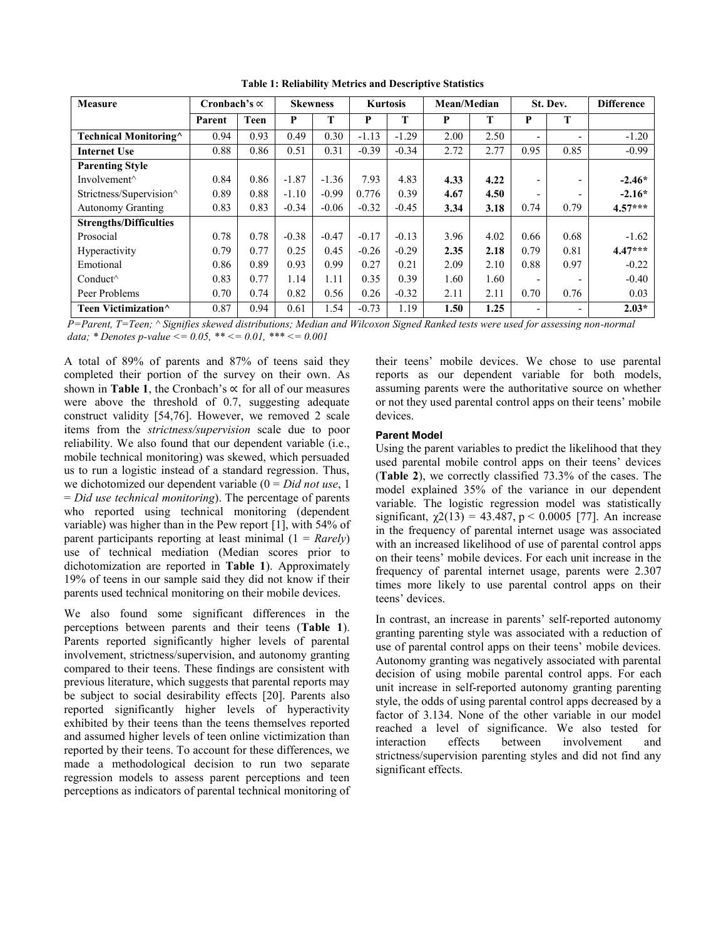| <b>Measure</b>                    | Cronbach's $\propto$ |      | <b>Skewness</b> |         | <b>Kurtosis</b> |         | Mean/Median |      | St. Dev. |                | <b>Difference</b> |
|-----------------------------------|----------------------|------|-----------------|---------|-----------------|---------|-------------|------|----------|----------------|-------------------|
|                                   | Parent               | Teen | P               | т       | P               | т       | P           | т    | P        | T              |                   |
| Technical Monitoring <sup>^</sup> | 0.94                 | 0.93 | 0.49            | 0.30    | $-1.13$         | $-1.29$ | 2.00        | 2.50 | Ξ.       |                | $-1.20$           |
| <b>Internet Use</b>               | 0.88                 | 0.86 | 0.51            | 0.31    | $-0.39$         | $-0.34$ | 2.72        | 2.77 | 0.95     | 0.85           | $-0.99$           |
| <b>Parenting Style</b>            |                      |      |                 |         |                 |         |             |      |          |                |                   |
| Involvement <sup>^</sup>          | 0.84                 | 0.86 | $-1.87$         | $-1.36$ | 7.93            | 4.83    | 4.33        | 4.22 |          | $\blacksquare$ | $-2.46*$          |
| Strictness/Supervision^           | 0.89                 | 0.88 | $-1.10$         | $-0.99$ | 0.776           | 0.39    | 4.67        | 4.50 |          |                | $-2.16*$          |
| <b>Autonomy Granting</b>          | 0.83                 | 0.83 | $-0.34$         | $-0.06$ | $-0.32$         | $-0.45$ | 3.34        | 3.18 | 0.74     | 0.79           | $4.57***$         |
| <b>Strengths/Difficulties</b>     |                      |      |                 |         |                 |         |             |      |          |                |                   |
| Prosocial                         | 0.78                 | 0.78 | $-0.38$         | $-0.47$ | $-0.17$         | $-0.13$ | 3.96        | 4.02 | 0.66     | 0.68           | $-1.62$           |
| Hyperactivity                     | 0.79                 | 0.77 | 0.25            | 0.45    | $-0.26$         | $-0.29$ | 2.35        | 2.18 | 0.79     | 0.81           | $4.47***$         |
| Emotional                         | 0.86                 | 0.89 | 0.93            | 0.99    | 0.27            | 0.21    | 2.09        | 2.10 | 0.88     | 0.97           | $-0.22$           |
| Conduct $\wedge$                  | 0.83                 | 0.77 | 1.14            | 1.11    | 0.35            | 0.39    | 1.60        | 1.60 |          |                | $-0.40$           |
| Peer Problems                     | 0.70                 | 0.74 | 0.82            | 0.56    | 0.26            | $-0.32$ | 2.11        | 2.11 | 0.70     | 0.76           | 0.03              |
| Teen Victimization^               | 0.87                 | 0.94 | 0.61            | 1.54    | $-0.73$         | 1.19    | 1.50        | 1.25 |          |                | $2.03*$           |

**Table 1: Reliability Metrics and Descriptive Statistics**

*P=Parent, T=Teen; ^ Signifies skewed distributions; Median and Wilcoxon Signed Ranked tests were used for assessing non-normal data; \* Denotes p-value <= 0.05, \*\* <= 0.01, \*\*\* <= 0.001*

A total of 89% of parents and 87% of teens said they completed their portion of the survey on their own. As shown in **Table 1**, the Cronbach's  $\propto$  for all of our measures were above the threshold of 0.7, suggesting adequate construct validity [54,76]. However, we removed 2 scale items from the *strictness/supervision* scale due to poor reliability. We also found that our dependent variable (i.e., mobile technical monitoring) was skewed, which persuaded us to run a logistic instead of a standard regression. Thus, we dichotomized our dependent variable (0 = *Did not use*, 1 = *Did use technical monitoring*). The percentage of parents who reported using technical monitoring (dependent variable) was higher than in the Pew report [1], with 54% of parent participants reporting at least minimal (1 = *Rarely*) use of technical mediation (Median scores prior to dichotomization are reported in **Table 1**). Approximately 19% of teens in our sample said they did not know if their parents used technical monitoring on their mobile devices.

We also found some significant differences in the perceptions between parents and their teens (**Table 1**). Parents reported significantly higher levels of parental involvement, strictness/supervision, and autonomy granting compared to their teens. These findings are consistent with previous literature, which suggests that parental reports may be subject to social desirability effects [20]. Parents also reported significantly higher levels of hyperactivity exhibited by their teens than the teens themselves reported and assumed higher levels of teen online victimization than reported by their teens. To account for these differences, we made a methodological decision to run two separate regression models to assess parent perceptions and teen perceptions as indicators of parental technical monitoring of their teens' mobile devices. We chose to use parental reports as our dependent variable for both models, assuming parents were the authoritative source on whether or not they used parental control apps on their teens' mobile devices.

#### **Parent Model**

Using the parent variables to predict the likelihood that they used parental mobile control apps on their teens' devices (**Table 2**), we correctly classified 73.3% of the cases. The model explained 35% of the variance in our dependent variable. The logistic regression model was statistically significant,  $\chi$ 2(13) = 43.487, p < 0.0005 [77]. An increase in the frequency of parental internet usage was associated with an increased likelihood of use of parental control apps on their teens' mobile devices. For each unit increase in the frequency of parental internet usage, parents were 2.307 times more likely to use parental control apps on their teens' devices.

In contrast, an increase in parents' self-reported autonomy granting parenting style was associated with a reduction of use of parental control apps on their teens' mobile devices. Autonomy granting was negatively associated with parental decision of using mobile parental control apps. For each unit increase in self-reported autonomy granting parenting style, the odds of using parental control apps decreased by a factor of 3.134. None of the other variable in our model reached a level of significance. We also tested for interaction effects between involvement and strictness/supervision parenting styles and did not find any significant effects.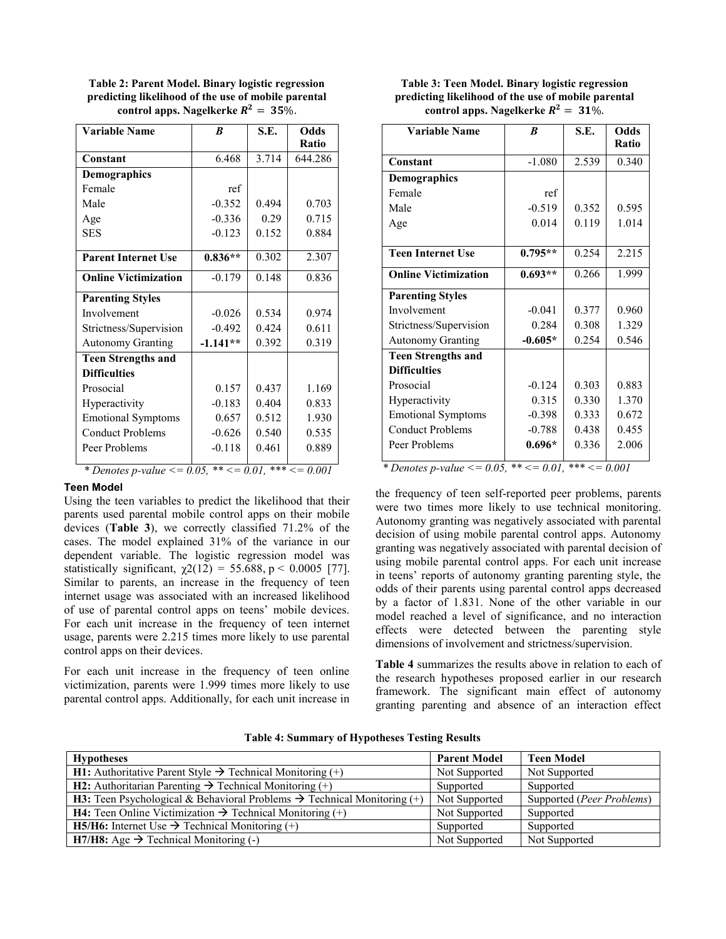| Table 2: Parent Model. Binary logistic regression   |
|-----------------------------------------------------|
| predicting likelihood of the use of mobile parental |
| control apps. Nagelkerke $R^2 = 35\%$ .             |

| <b>Variable Name</b>                        | B                                           | S.E.  | Odds           |
|---------------------------------------------|---------------------------------------------|-------|----------------|
|                                             |                                             |       | Ratio          |
| Constant                                    | 6.468                                       | 3.714 | 644.286        |
| <b>Demographics</b>                         |                                             |       |                |
| Female                                      | ref                                         |       |                |
| Male                                        | $-0.352$                                    | 0.494 | 0.703          |
| Age                                         | $-0.336$                                    | 0.29  | 0.715          |
| <b>SES</b>                                  | $-0.123$                                    | 0.152 | 0.884          |
|                                             |                                             |       |                |
| <b>Parent Internet Use</b>                  | $0.836**$                                   | 0.302 | 2.307          |
| <b>Online Victimization</b>                 | $-0.179$                                    | 0.148 | 0.836          |
| <b>Parenting Styles</b>                     |                                             |       |                |
| Involvement                                 | $-0.026$                                    | 0.534 | 0.974          |
| Strictness/Supervision                      | $-0.492$                                    | 0.424 | 0.611          |
| <b>Autonomy Granting</b>                    | $-1.141**$                                  | 0.392 | 0.319          |
| <b>Teen Strengths and</b>                   |                                             |       |                |
| <b>Difficulties</b>                         |                                             |       |                |
| Prosocial                                   | 0.157                                       | 0.437 | 1.169          |
| Hyperactivity                               | $-0.183$                                    | 0.404 | 0.833          |
| <b>Emotional Symptoms</b>                   | 0.657                                       | 0.512 | 1.930          |
| <b>Conduct Problems</b>                     | $-0.626$                                    | 0.540 | 0.535          |
| Peer Problems<br>$\mathbf{I}$<br>$+$ $\sim$ | $-0.118$<br>$0.07 - 22 = 0.01 - 222 = 0.01$ | 0.461 | 0.889<br>0.001 |

*\* Denotes p-value <= 0.05, \*\* <= 0.01, \*\*\* <= 0.001*

#### **Teen Model**

Using the teen variables to predict the likelihood that their parents used parental mobile control apps on their mobile devices (**Table 3**), we correctly classified 71.2% of the cases. The model explained 31% of the variance in our dependent variable. The logistic regression model was statistically significant,  $\gamma$ 2(12) = 55.688, p < 0.0005 [77]. Similar to parents, an increase in the frequency of teen internet usage was associated with an increased likelihood of use of parental control apps on teens' mobile devices. For each unit increase in the frequency of teen internet usage, parents were 2.215 times more likely to use parental control apps on their devices.

For each unit increase in the frequency of teen online victimization, parents were 1.999 times more likely to use parental control apps. Additionally, for each unit increase in

| Table 3: Teen Model. Binary logistic regression     |
|-----------------------------------------------------|
| predicting likelihood of the use of mobile parental |
| control apps. Nagelkerke $R^2 = 31\%$ .             |

| <b>Variable Name</b>          | $\boldsymbol{B}$      | S.E.                   | Odds  |
|-------------------------------|-----------------------|------------------------|-------|
|                               |                       |                        | Ratio |
| Constant                      | $-1.080$              | 2.539                  | 0.340 |
| Demographics                  |                       |                        |       |
| Female                        | ref                   |                        |       |
| Male                          | $-0.519$              | 0.352                  | 0.595 |
| Age                           | 0.014                 | 0.119                  | 1.014 |
|                               |                       |                        |       |
| <b>Teen Internet Use</b>      | $0.795**$             | 0.254                  | 2.215 |
| <b>Online Victimization</b>   | $0.693**$             | 0.266                  | 1.999 |
| <b>Parenting Styles</b>       |                       |                        |       |
| Involvement                   | $-0.041$              | 0.377                  | 0.960 |
| Strictness/Supervision        | 0.284                 | 0.308                  | 1.329 |
| <b>Autonomy Granting</b>      | $-0.605*$             | 0.254                  | 0.546 |
| <b>Teen Strengths and</b>     |                       |                        |       |
| <b>Difficulties</b>           |                       |                        |       |
| Prosocial                     | $-0.124$              | 0.303                  | 0.883 |
| Hyperactivity                 | 0.315                 | 0.330                  | 1.370 |
| <b>Emotional Symptoms</b>     | $-0.398$              | 0.333                  | 0.672 |
| <b>Conduct Problems</b>       | $-0.788$              | 0.438                  | 0.455 |
| Peer Problems<br>$\mathbf{a}$ | $0.696*$<br>also also | 0.336<br>$0.01$ should | 2.006 |

*\* Denotes p-value <= 0.05, \*\* <= 0.01, \*\*\* <= 0.001*

the frequency of teen self-reported peer problems, parents were two times more likely to use technical monitoring. Autonomy granting was negatively associated with parental decision of using mobile parental control apps. Autonomy granting was negatively associated with parental decision of using mobile parental control apps. For each unit increase in teens' reports of autonomy granting parenting style, the odds of their parents using parental control apps decreased by a factor of 1.831. None of the other variable in our model reached a level of significance, and no interaction effects were detected between the parenting style dimensions of involvement and strictness/supervision.

**Table 4** summarizes the results above in relation to each of the research hypotheses proposed earlier in our research framework. The significant main effect of autonomy granting parenting and absence of an interaction effect

| <b>Hypotheses</b>                                                                          | <b>Parent Model</b> | <b>Teen Model</b>         |
|--------------------------------------------------------------------------------------------|---------------------|---------------------------|
| <b>H1:</b> Authoritative Parent Style $\rightarrow$ Technical Monitoring (+)               | Not Supported       | Not Supported             |
| <b>H2:</b> Authoritarian Parenting $\rightarrow$ Technical Monitoring (+)                  | Supported           | Supported                 |
| <b>H3:</b> Teen Psychological & Behavioral Problems $\rightarrow$ Technical Monitoring (+) | Not Supported       | Supported (Peer Problems) |
| <b>H4:</b> Teen Online Victimization $\rightarrow$ Technical Monitoring (+)                | Not Supported       | Supported                 |
| <b>H5/H6:</b> Internet Use $\rightarrow$ Technical Monitoring (+)                          | Supported           | Supported                 |
| $H7/H8$ : Age $\rightarrow$ Technical Monitoring (-)                                       | Not Supported       | Not Supported             |

**Table 4: Summary of Hypotheses Testing Results**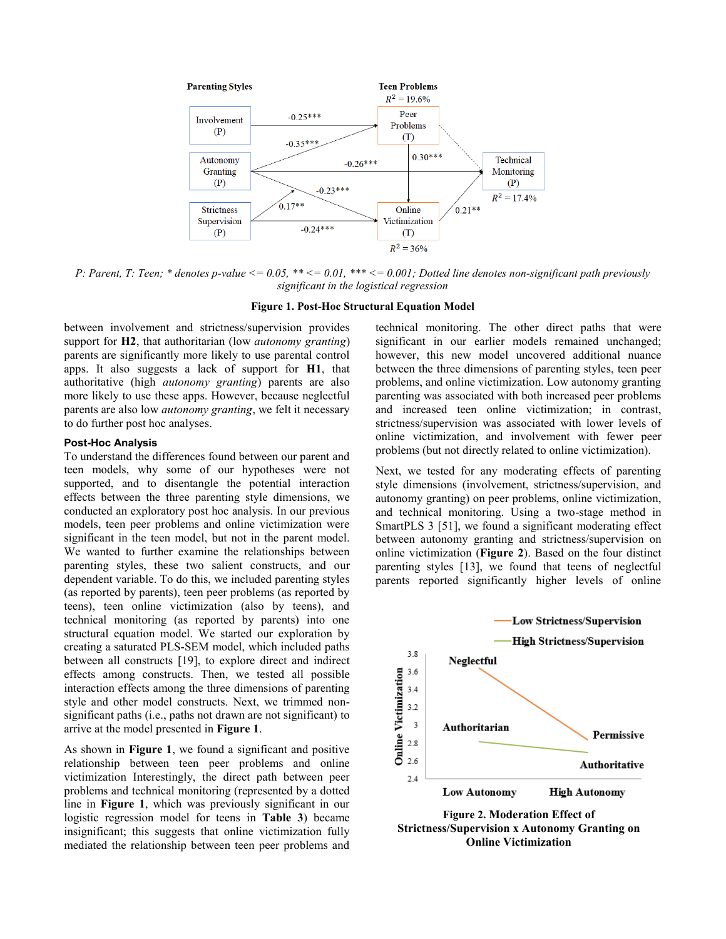

*P: Parent, T: Teen; \* denotes p-value <= 0.05, \*\* <= 0.01, \*\*\* <= 0.001; Dotted line denotes non-significant path previously significant in the logistical regression*

### **Figure 1. Post-Hoc Structural Equation Model**

between involvement and strictness/supervision provides support for **H2**, that authoritarian (low *autonomy granting*) parents are significantly more likely to use parental control apps. It also suggests a lack of support for **H1**, that authoritative (high *autonomy granting*) parents are also more likely to use these apps. However, because neglectful parents are also low *autonomy granting*, we felt it necessary to do further post hoc analyses.

#### **Post-Hoc Analysis**

To understand the differences found between our parent and teen models, why some of our hypotheses were not supported, and to disentangle the potential interaction effects between the three parenting style dimensions, we conducted an exploratory post hoc analysis. In our previous models, teen peer problems and online victimization were significant in the teen model, but not in the parent model. We wanted to further examine the relationships between parenting styles, these two salient constructs, and our dependent variable. To do this, we included parenting styles (as reported by parents), teen peer problems (as reported by teens), teen online victimization (also by teens), and technical monitoring (as reported by parents) into one structural equation model. We started our exploration by creating a saturated PLS-SEM model, which included paths between all constructs [19], to explore direct and indirect effects among constructs. Then, we tested all possible interaction effects among the three dimensions of parenting style and other model constructs. Next, we trimmed nonsignificant paths (i.e., paths not drawn are not significant) to arrive at the model presented in **Figure 1**.

As shown in **Figure 1**, we found a significant and positive relationship between teen peer problems and online victimization Interestingly, the direct path between peer problems and technical monitoring (represented by a dotted line in **Figure 1**, which was previously significant in our logistic regression model for teens in **Table 3**) became insignificant; this suggests that online victimization fully mediated the relationship between teen peer problems and technical monitoring. The other direct paths that were significant in our earlier models remained unchanged; however, this new model uncovered additional nuance between the three dimensions of parenting styles, teen peer problems, and online victimization. Low autonomy granting parenting was associated with both increased peer problems and increased teen online victimization; in contrast, strictness/supervision was associated with lower levels of online victimization, and involvement with fewer peer problems (but not directly related to online victimization).

Next, we tested for any moderating effects of parenting style dimensions (involvement, strictness/supervision, and autonomy granting) on peer problems, online victimization, and technical monitoring. Using a two-stage method in SmartPLS 3 [51], we found a significant moderating effect between autonomy granting and strictness/supervision on online victimization (**Figure 2**). Based on the four distinct parenting styles [13], we found that teens of neglectful parents reported significantly higher levels of online



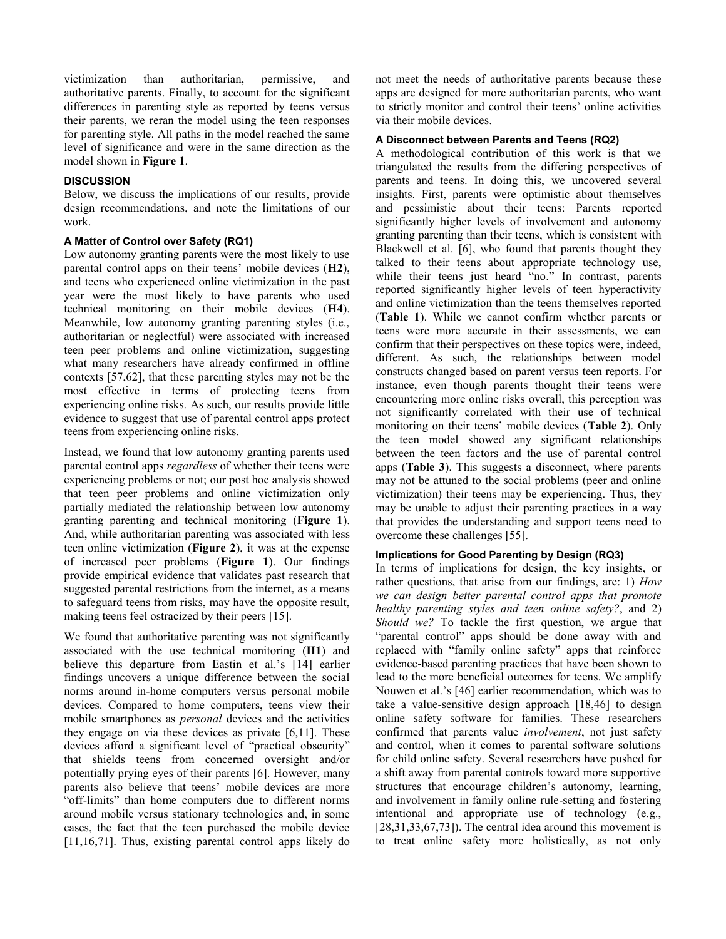victimization than authoritarian, permissive, and authoritative parents. Finally, to account for the significant differences in parenting style as reported by teens versus their parents, we reran the model using the teen responses for parenting style. All paths in the model reached the same level of significance and were in the same direction as the model shown in **Figure 1**.

#### **DISCUSSION**

Below, we discuss the implications of our results, provide design recommendations, and note the limitations of our work.

# **A Matter of Control over Safety (RQ1)**

Low autonomy granting parents were the most likely to use parental control apps on their teens' mobile devices (**H2**), and teens who experienced online victimization in the past year were the most likely to have parents who used technical monitoring on their mobile devices (**H4**). Meanwhile, low autonomy granting parenting styles (i.e., authoritarian or neglectful) were associated with increased teen peer problems and online victimization, suggesting what many researchers have already confirmed in offline contexts [57,62], that these parenting styles may not be the most effective in terms of protecting teens from experiencing online risks. As such, our results provide little evidence to suggest that use of parental control apps protect teens from experiencing online risks.

Instead, we found that low autonomy granting parents used parental control apps *regardless* of whether their teens were experiencing problems or not; our post hoc analysis showed that teen peer problems and online victimization only partially mediated the relationship between low autonomy granting parenting and technical monitoring (**Figure 1**). And, while authoritarian parenting was associated with less teen online victimization (**Figure 2**), it was at the expense of increased peer problems (**Figure 1**). Our findings provide empirical evidence that validates past research that suggested parental restrictions from the internet, as a means to safeguard teens from risks, may have the opposite result, making teens feel ostracized by their peers [15].

We found that authoritative parenting was not significantly associated with the use technical monitoring (**H1**) and believe this departure from Eastin et al.'s [14] earlier findings uncovers a unique difference between the social norms around in-home computers versus personal mobile devices. Compared to home computers, teens view their mobile smartphones as *personal* devices and the activities they engage on via these devices as private [6,11]. These devices afford a significant level of "practical obscurity" that shields teens from concerned oversight and/or potentially prying eyes of their parents [6]. However, many parents also believe that teens' mobile devices are more "off-limits" than home computers due to different norms around mobile versus stationary technologies and, in some cases, the fact that the teen purchased the mobile device [11,16,71]. Thus, existing parental control apps likely do

not meet the needs of authoritative parents because these apps are designed for more authoritarian parents, who want to strictly monitor and control their teens' online activities via their mobile devices.

# **A Disconnect between Parents and Teens (RQ2)**

A methodological contribution of this work is that we triangulated the results from the differing perspectives of parents and teens. In doing this, we uncovered several insights. First, parents were optimistic about themselves and pessimistic about their teens: Parents reported significantly higher levels of involvement and autonomy granting parenting than their teens, which is consistent with Blackwell et al. [6], who found that parents thought they talked to their teens about appropriate technology use, while their teens just heard "no." In contrast, parents reported significantly higher levels of teen hyperactivity and online victimization than the teens themselves reported (**Table 1**). While we cannot confirm whether parents or teens were more accurate in their assessments, we can confirm that their perspectives on these topics were, indeed, different. As such, the relationships between model constructs changed based on parent versus teen reports. For instance, even though parents thought their teens were encountering more online risks overall, this perception was not significantly correlated with their use of technical monitoring on their teens' mobile devices (**Table 2**). Only the teen model showed any significant relationships between the teen factors and the use of parental control apps (**Table 3**). This suggests a disconnect, where parents may not be attuned to the social problems (peer and online victimization) their teens may be experiencing. Thus, they may be unable to adjust their parenting practices in a way that provides the understanding and support teens need to overcome these challenges [55].

# **Implications for Good Parenting by Design (RQ3)**

In terms of implications for design, the key insights, or rather questions, that arise from our findings, are: 1) *How we can design better parental control apps that promote healthy parenting styles and teen online safety?*, and 2) *Should we?* To tackle the first question, we argue that "parental control" apps should be done away with and replaced with "family online safety" apps that reinforce evidence-based parenting practices that have been shown to lead to the more beneficial outcomes for teens. We amplify Nouwen et al.'s [46] earlier recommendation, which was to take a value-sensitive design approach [18,46] to design online safety software for families. These researchers confirmed that parents value *involvement*, not just safety and control, when it comes to parental software solutions for child online safety. Several researchers have pushed for a shift away from parental controls toward more supportive structures that encourage children's autonomy, learning, and involvement in family online rule-setting and fostering intentional and appropriate use of technology (e.g., [28,31,33,67,73]). The central idea around this movement is to treat online safety more holistically, as not only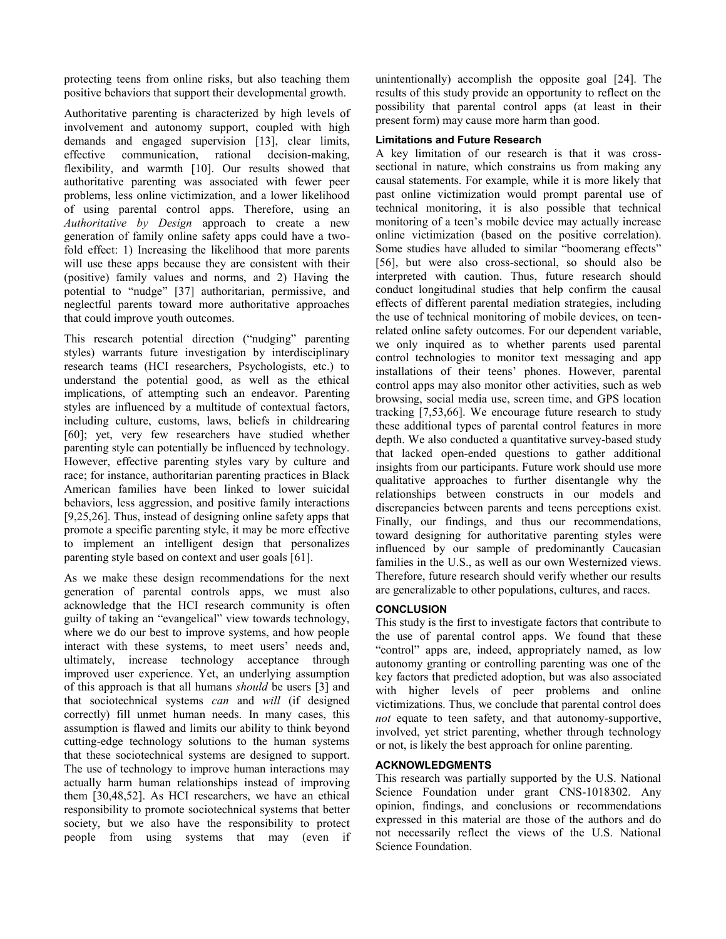protecting teens from online risks, but also teaching them positive behaviors that support their developmental growth.

Authoritative parenting is characterized by high levels of involvement and autonomy support, coupled with high demands and engaged supervision [13], clear limits, effective communication, rational decision-making, flexibility, and warmth [10]. Our results showed that authoritative parenting was associated with fewer peer problems, less online victimization, and a lower likelihood of using parental control apps. Therefore, using an *Authoritative by Design* approach to create a new generation of family online safety apps could have a twofold effect: 1) Increasing the likelihood that more parents will use these apps because they are consistent with their (positive) family values and norms, and 2) Having the potential to "nudge" [37] authoritarian, permissive, and neglectful parents toward more authoritative approaches that could improve youth outcomes.

This research potential direction ("nudging" parenting styles) warrants future investigation by interdisciplinary research teams (HCI researchers, Psychologists, etc.) to understand the potential good, as well as the ethical implications, of attempting such an endeavor. Parenting styles are influenced by a multitude of contextual factors, including culture, customs, laws, beliefs in childrearing [60]; yet, very few researchers have studied whether parenting style can potentially be influenced by technology. However, effective parenting styles vary by culture and race; for instance, authoritarian parenting practices in Black American families have been linked to lower suicidal behaviors, less aggression, and positive family interactions [9,25,26]. Thus, instead of designing online safety apps that promote a specific parenting style, it may be more effective to implement an intelligent design that personalizes parenting style based on context and user goals [61].

As we make these design recommendations for the next generation of parental controls apps, we must also acknowledge that the HCI research community is often guilty of taking an "evangelical" view towards technology, where we do our best to improve systems, and how people interact with these systems, to meet users' needs and, ultimately, increase technology acceptance through improved user experience. Yet, an underlying assumption of this approach is that all humans *should* be users [3] and that sociotechnical systems *can* and *will* (if designed correctly) fill unmet human needs. In many cases, this assumption is flawed and limits our ability to think beyond cutting-edge technology solutions to the human systems that these sociotechnical systems are designed to support. The use of technology to improve human interactions may actually harm human relationships instead of improving them [30,48,52]. As HCI researchers, we have an ethical responsibility to promote sociotechnical systems that better society, but we also have the responsibility to protect people from using systems that may (even if unintentionally) accomplish the opposite goal [24]. The results of this study provide an opportunity to reflect on the possibility that parental control apps (at least in their present form) may cause more harm than good.

#### **Limitations and Future Research**

A key limitation of our research is that it was crosssectional in nature, which constrains us from making any causal statements. For example, while it is more likely that past online victimization would prompt parental use of technical monitoring, it is also possible that technical monitoring of a teen's mobile device may actually increase online victimization (based on the positive correlation). Some studies have alluded to similar "boomerang effects" [56], but were also cross-sectional, so should also be interpreted with caution. Thus, future research should conduct longitudinal studies that help confirm the causal effects of different parental mediation strategies, including the use of technical monitoring of mobile devices, on teenrelated online safety outcomes. For our dependent variable, we only inquired as to whether parents used parental control technologies to monitor text messaging and app installations of their teens' phones. However, parental control apps may also monitor other activities, such as web browsing, social media use, screen time, and GPS location tracking [7,53,66]. We encourage future research to study these additional types of parental control features in more depth. We also conducted a quantitative survey-based study that lacked open-ended questions to gather additional insights from our participants. Future work should use more qualitative approaches to further disentangle why the relationships between constructs in our models and discrepancies between parents and teens perceptions exist. Finally, our findings, and thus our recommendations, toward designing for authoritative parenting styles were influenced by our sample of predominantly Caucasian families in the U.S., as well as our own Westernized views. Therefore, future research should verify whether our results are generalizable to other populations, cultures, and races.

# **CONCLUSION**

This study is the first to investigate factors that contribute to the use of parental control apps. We found that these "control" apps are, indeed, appropriately named, as low autonomy granting or controlling parenting was one of the key factors that predicted adoption, but was also associated with higher levels of peer problems and online victimizations. Thus, we conclude that parental control does *not* equate to teen safety, and that autonomy-supportive, involved, yet strict parenting, whether through technology or not, is likely the best approach for online parenting.

#### **ACKNOWLEDGMENTS**

This research was partially supported by the U.S. National Science Foundation under grant CNS-1018302. Any opinion, findings, and conclusions or recommendations expressed in this material are those of the authors and do not necessarily reflect the views of the U.S. National Science Foundation.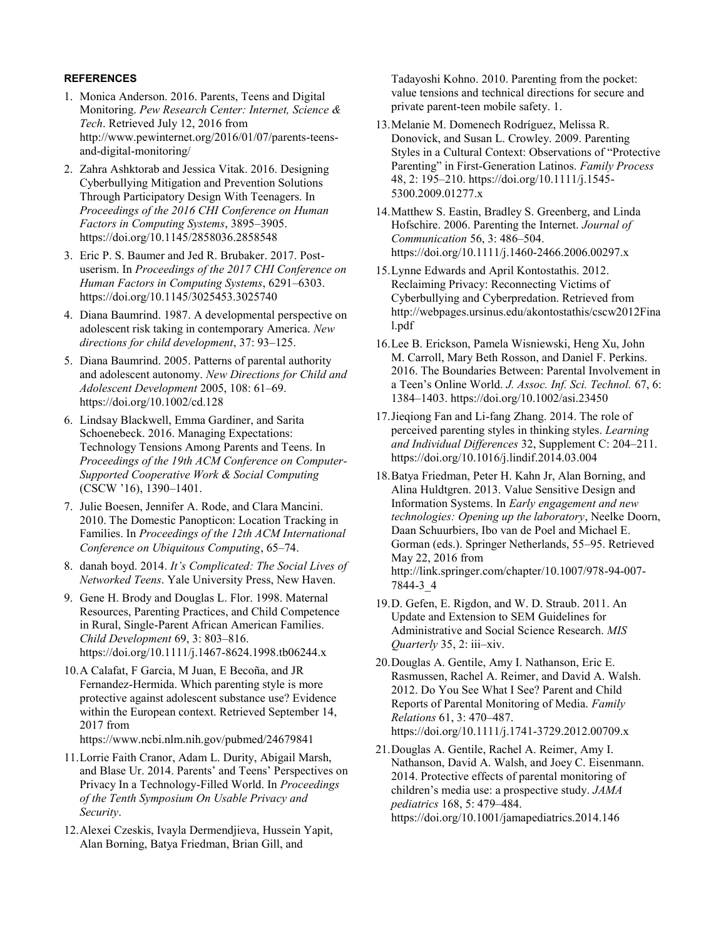#### **REFERENCES**

- 1. Monica Anderson. 2016. Parents, Teens and Digital Monitoring. *Pew Research Center: Internet, Science & Tech*. Retrieved July 12, 2016 from http://www.pewinternet.org/2016/01/07/parents-teensand-digital-monitoring/
- 2. Zahra Ashktorab and Jessica Vitak. 2016. Designing Cyberbullying Mitigation and Prevention Solutions Through Participatory Design With Teenagers. In *Proceedings of the 2016 CHI Conference on Human Factors in Computing Systems*, 3895–3905. https://doi.org/10.1145/2858036.2858548
- 3. Eric P. S. Baumer and Jed R. Brubaker. 2017. Postuserism. In *Proceedings of the 2017 CHI Conference on Human Factors in Computing Systems*, 6291–6303. https://doi.org/10.1145/3025453.3025740
- 4. Diana Baumrind. 1987. A developmental perspective on adolescent risk taking in contemporary America. *New directions for child development*, 37: 93–125.
- 5. Diana Baumrind. 2005. Patterns of parental authority and adolescent autonomy. *New Directions for Child and Adolescent Development* 2005, 108: 61–69. https://doi.org/10.1002/cd.128
- 6. Lindsay Blackwell, Emma Gardiner, and Sarita Schoenebeck. 2016. Managing Expectations: Technology Tensions Among Parents and Teens. In *Proceedings of the 19th ACM Conference on Computer-Supported Cooperative Work & Social Computing* (CSCW '16), 1390–1401.
- 7. Julie Boesen, Jennifer A. Rode, and Clara Mancini. 2010. The Domestic Panopticon: Location Tracking in Families. In *Proceedings of the 12th ACM International Conference on Ubiquitous Computing*, 65–74.
- 8. danah boyd. 2014. *It's Complicated: The Social Lives of Networked Teens*. Yale University Press, New Haven.
- 9. Gene H. Brody and Douglas L. Flor. 1998. Maternal Resources, Parenting Practices, and Child Competence in Rural, Single-Parent African American Families. *Child Development* 69, 3: 803–816. https://doi.org/10.1111/j.1467-8624.1998.tb06244.x
- 10.A Calafat, F Garcia, M Juan, E Becoña, and JR Fernandez-Hermida. Which parenting style is more protective against adolescent substance use? Evidence within the European context. Retrieved September 14, 2017 from

https://www.ncbi.nlm.nih.gov/pubmed/24679841

- 11.Lorrie Faith Cranor, Adam L. Durity, Abigail Marsh, and Blase Ur. 2014. Parents' and Teens' Perspectives on Privacy In a Technology-Filled World. In *Proceedings of the Tenth Symposium On Usable Privacy and Security*.
- 12.Alexei Czeskis, Ivayla Dermendjieva, Hussein Yapit, Alan Borning, Batya Friedman, Brian Gill, and

Tadayoshi Kohno. 2010. Parenting from the pocket: value tensions and technical directions for secure and private parent-teen mobile safety. 1.

- 13.Melanie M. Domenech Rodríguez, Melissa R. Donovick, and Susan L. Crowley. 2009. Parenting Styles in a Cultural Context: Observations of "Protective Parenting" in First-Generation Latinos. *Family Process* 48, 2: 195–210. https://doi.org/10.1111/j.1545- 5300.2009.01277.x
- 14.Matthew S. Eastin, Bradley S. Greenberg, and Linda Hofschire. 2006. Parenting the Internet. *Journal of Communication* 56, 3: 486–504. https://doi.org/10.1111/j.1460-2466.2006.00297.x
- 15.Lynne Edwards and April Kontostathis. 2012. Reclaiming Privacy: Reconnecting Victims of Cyberbullying and Cyberpredation. Retrieved from http://webpages.ursinus.edu/akontostathis/cscw2012Fina l.pdf
- 16.Lee B. Erickson, Pamela Wisniewski, Heng Xu, John M. Carroll, Mary Beth Rosson, and Daniel F. Perkins. 2016. The Boundaries Between: Parental Involvement in a Teen's Online World. *J. Assoc. Inf. Sci. Technol.* 67, 6: 1384–1403. https://doi.org/10.1002/asi.23450
- 17.Jieqiong Fan and Li-fang Zhang. 2014. The role of perceived parenting styles in thinking styles. *Learning and Individual Differences* 32, Supplement C: 204–211. https://doi.org/10.1016/j.lindif.2014.03.004
- 18.Batya Friedman, Peter H. Kahn Jr, Alan Borning, and Alina Huldtgren. 2013. Value Sensitive Design and Information Systems. In *Early engagement and new technologies: Opening up the laboratory*, Neelke Doorn, Daan Schuurbiers, Ibo van de Poel and Michael E. Gorman (eds.). Springer Netherlands, 55–95. Retrieved May 22, 2016 from http://link.springer.com/chapter/10.1007/978-94-007- 7844-3\_4
- 19.D. Gefen, E. Rigdon, and W. D. Straub. 2011. An Update and Extension to SEM Guidelines for Administrative and Social Science Research. *MIS Quarterly* 35, 2: iii–xiv.
- 20.Douglas A. Gentile, Amy I. Nathanson, Eric E. Rasmussen, Rachel A. Reimer, and David A. Walsh. 2012. Do You See What I See? Parent and Child Reports of Parental Monitoring of Media. *Family Relations* 61, 3: 470–487. https://doi.org/10.1111/j.1741-3729.2012.00709.x
- 21.Douglas A. Gentile, Rachel A. Reimer, Amy I. Nathanson, David A. Walsh, and Joey C. Eisenmann. 2014. Protective effects of parental monitoring of children's media use: a prospective study. *JAMA pediatrics* 168, 5: 479–484. https://doi.org/10.1001/jamapediatrics.2014.146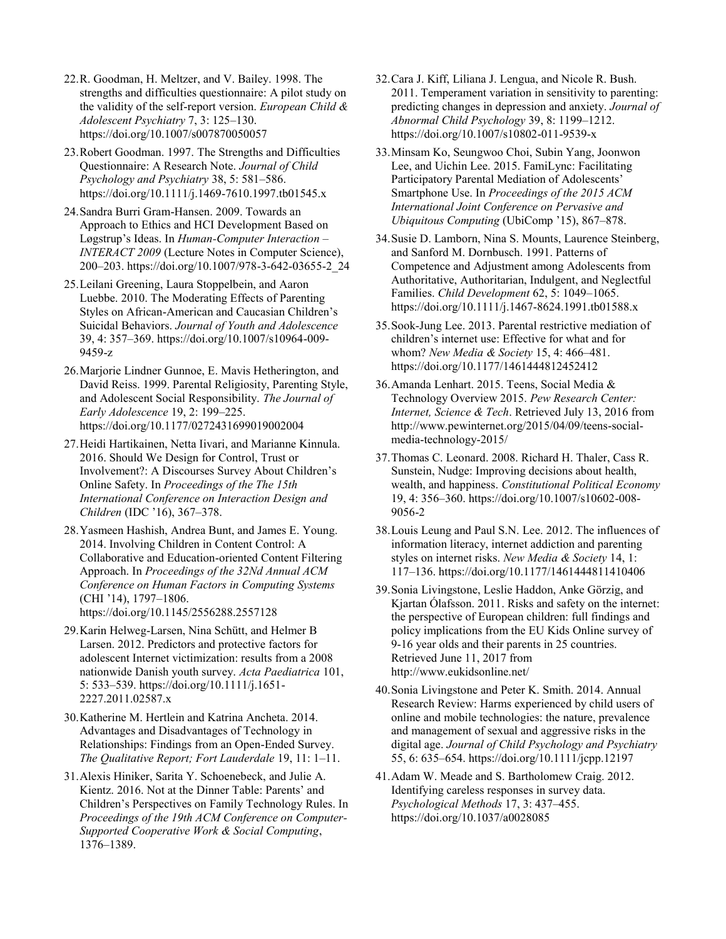- 22.R. Goodman, H. Meltzer, and V. Bailey. 1998. The strengths and difficulties questionnaire: A pilot study on the validity of the self-report version. *European Child & Adolescent Psychiatry* 7, 3: 125–130. https://doi.org/10.1007/s007870050057
- 23.Robert Goodman. 1997. The Strengths and Difficulties Questionnaire: A Research Note. *Journal of Child Psychology and Psychiatry* 38, 5: 581–586. https://doi.org/10.1111/j.1469-7610.1997.tb01545.x
- 24.Sandra Burri Gram-Hansen. 2009. Towards an Approach to Ethics and HCI Development Based on Løgstrup's Ideas. In *Human-Computer Interaction – INTERACT 2009* (Lecture Notes in Computer Science), 200–203. https://doi.org/10.1007/978-3-642-03655-2\_24
- 25.Leilani Greening, Laura Stoppelbein, and Aaron Luebbe. 2010. The Moderating Effects of Parenting Styles on African-American and Caucasian Children's Suicidal Behaviors. *Journal of Youth and Adolescence* 39, 4: 357–369. https://doi.org/10.1007/s10964-009- 9459-z
- 26.Marjorie Lindner Gunnoe, E. Mavis Hetherington, and David Reiss. 1999. Parental Religiosity, Parenting Style, and Adolescent Social Responsibility. *The Journal of Early Adolescence* 19, 2: 199–225. https://doi.org/10.1177/0272431699019002004
- 27.Heidi Hartikainen, Netta Iivari, and Marianne Kinnula. 2016. Should We Design for Control, Trust or Involvement?: A Discourses Survey About Children's Online Safety. In *Proceedings of the The 15th International Conference on Interaction Design and Children* (IDC '16), 367–378.
- 28.Yasmeen Hashish, Andrea Bunt, and James E. Young. 2014. Involving Children in Content Control: A Collaborative and Education-oriented Content Filtering Approach. In *Proceedings of the 32Nd Annual ACM Conference on Human Factors in Computing Systems* (CHI '14), 1797–1806. https://doi.org/10.1145/2556288.2557128
- 29.Karin Helweg-Larsen, Nina Schütt, and Helmer B Larsen. 2012. Predictors and protective factors for adolescent Internet victimization: results from a 2008 nationwide Danish youth survey. *Acta Paediatrica* 101, 5: 533–539. https://doi.org/10.1111/j.1651- 2227.2011.02587.x
- 30.Katherine M. Hertlein and Katrina Ancheta. 2014. Advantages and Disadvantages of Technology in Relationships: Findings from an Open-Ended Survey. *The Qualitative Report; Fort Lauderdale* 19, 11: 1–11.
- 31.Alexis Hiniker, Sarita Y. Schoenebeck, and Julie A. Kientz. 2016. Not at the Dinner Table: Parents' and Children's Perspectives on Family Technology Rules. In *Proceedings of the 19th ACM Conference on Computer-Supported Cooperative Work & Social Computing*, 1376–1389.
- 32.Cara J. Kiff, Liliana J. Lengua, and Nicole R. Bush. 2011. Temperament variation in sensitivity to parenting: predicting changes in depression and anxiety. *Journal of Abnormal Child Psychology* 39, 8: 1199–1212. https://doi.org/10.1007/s10802-011-9539-x
- 33.Minsam Ko, Seungwoo Choi, Subin Yang, Joonwon Lee, and Uichin Lee. 2015. FamiLync: Facilitating Participatory Parental Mediation of Adolescents' Smartphone Use. In *Proceedings of the 2015 ACM International Joint Conference on Pervasive and Ubiquitous Computing* (UbiComp '15), 867–878.
- 34.Susie D. Lamborn, Nina S. Mounts, Laurence Steinberg, and Sanford M. Dornbusch. 1991. Patterns of Competence and Adjustment among Adolescents from Authoritative, Authoritarian, Indulgent, and Neglectful Families. *Child Development* 62, 5: 1049–1065. https://doi.org/10.1111/j.1467-8624.1991.tb01588.x
- 35.Sook-Jung Lee. 2013. Parental restrictive mediation of children's internet use: Effective for what and for whom? *New Media & Society* 15, 4: 466–481. https://doi.org/10.1177/1461444812452412
- 36.Amanda Lenhart. 2015. Teens, Social Media & Technology Overview 2015. *Pew Research Center: Internet, Science & Tech*. Retrieved July 13, 2016 from http://www.pewinternet.org/2015/04/09/teens-socialmedia-technology-2015/
- 37.Thomas C. Leonard. 2008. Richard H. Thaler, Cass R. Sunstein, Nudge: Improving decisions about health, wealth, and happiness. *Constitutional Political Economy* 19, 4: 356–360. https://doi.org/10.1007/s10602-008- 9056-2
- 38.Louis Leung and Paul S.N. Lee. 2012. The influences of information literacy, internet addiction and parenting styles on internet risks. *New Media & Society* 14, 1: 117–136. https://doi.org/10.1177/1461444811410406
- 39.Sonia Livingstone, Leslie Haddon, Anke Görzig, and Kjartan Ólafsson. 2011. Risks and safety on the internet: the perspective of European children: full findings and policy implications from the EU Kids Online survey of 9-16 year olds and their parents in 25 countries. Retrieved June 11, 2017 from http://www.eukidsonline.net/
- 40.Sonia Livingstone and Peter K. Smith. 2014. Annual Research Review: Harms experienced by child users of online and mobile technologies: the nature, prevalence and management of sexual and aggressive risks in the digital age. *Journal of Child Psychology and Psychiatry* 55, 6: 635–654. https://doi.org/10.1111/jcpp.12197
- 41.Adam W. Meade and S. Bartholomew Craig. 2012. Identifying careless responses in survey data. *Psychological Methods* 17, 3: 437–455. https://doi.org/10.1037/a0028085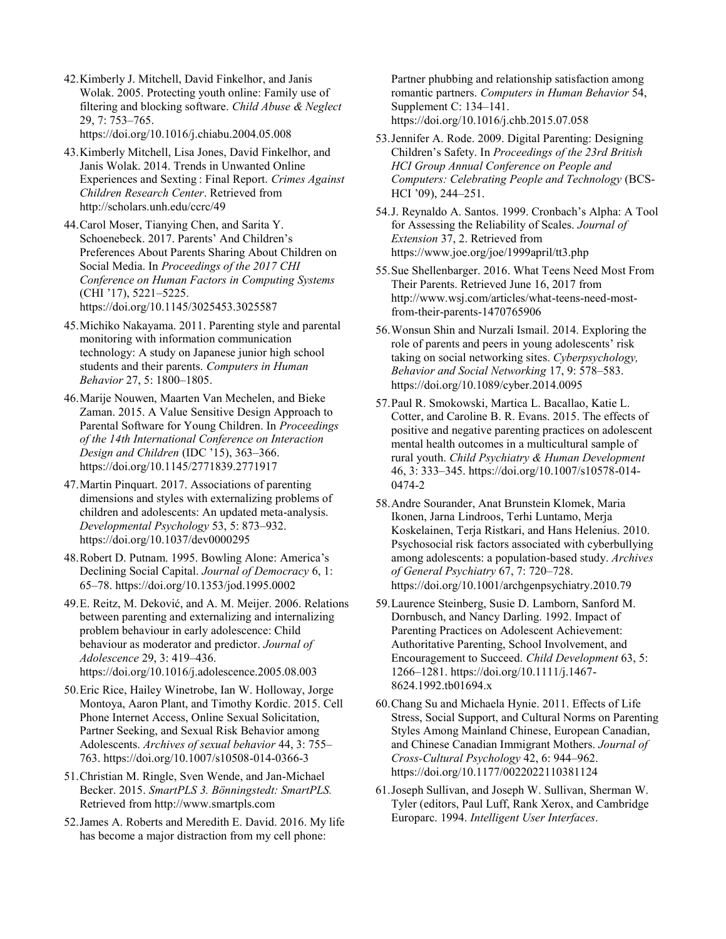42.Kimberly J. Mitchell, David Finkelhor, and Janis Wolak. 2005. Protecting youth online: Family use of filtering and blocking software. *Child Abuse & Neglect* 29, 7: 753–765. https://doi.org/10.1016/j.chiabu.2004.05.008

43.Kimberly Mitchell, Lisa Jones, David Finkelhor, and Janis Wolak. 2014. Trends in Unwanted Online Experiences and Sexting : Final Report. *Crimes Against Children Research Center*. Retrieved from http://scholars.unh.edu/ccrc/49

44.Carol Moser, Tianying Chen, and Sarita Y. Schoenebeck. 2017. Parents' And Children's Preferences About Parents Sharing About Children on Social Media. In *Proceedings of the 2017 CHI Conference on Human Factors in Computing Systems* (CHI '17), 5221–5225. https://doi.org/10.1145/3025453.3025587

45.Michiko Nakayama. 2011. Parenting style and parental monitoring with information communication technology: A study on Japanese junior high school students and their parents. *Computers in Human Behavior* 27, 5: 1800–1805.

46.Marije Nouwen, Maarten Van Mechelen, and Bieke Zaman. 2015. A Value Sensitive Design Approach to Parental Software for Young Children. In *Proceedings of the 14th International Conference on Interaction Design and Children* (IDC '15), 363–366. https://doi.org/10.1145/2771839.2771917

47.Martin Pinquart. 2017. Associations of parenting dimensions and styles with externalizing problems of children and adolescents: An updated meta-analysis. *Developmental Psychology* 53, 5: 873–932. https://doi.org/10.1037/dev0000295

48.Robert D. Putnam. 1995. Bowling Alone: America's Declining Social Capital. *Journal of Democracy* 6, 1: 65–78. https://doi.org/10.1353/jod.1995.0002

49.E. Reitz, M. Deković, and A. M. Meijer. 2006. Relations between parenting and externalizing and internalizing problem behaviour in early adolescence: Child behaviour as moderator and predictor. *Journal of Adolescence* 29, 3: 419–436. https://doi.org/10.1016/j.adolescence.2005.08.003

50.Eric Rice, Hailey Winetrobe, Ian W. Holloway, Jorge Montoya, Aaron Plant, and Timothy Kordic. 2015. Cell Phone Internet Access, Online Sexual Solicitation, Partner Seeking, and Sexual Risk Behavior among Adolescents. *Archives of sexual behavior* 44, 3: 755– 763. https://doi.org/10.1007/s10508-014-0366-3

51.Christian M. Ringle, Sven Wende, and Jan-Michael Becker. 2015. *SmartPLS 3. Bönningstedt: SmartPLS.* Retrieved from http://www.smartpls.com

52.James A. Roberts and Meredith E. David. 2016. My life has become a major distraction from my cell phone:

Partner phubbing and relationship satisfaction among romantic partners. *Computers in Human Behavior* 54, Supplement C: 134–141. https://doi.org/10.1016/j.chb.2015.07.058

53.Jennifer A. Rode. 2009. Digital Parenting: Designing Children's Safety. In *Proceedings of the 23rd British HCI Group Annual Conference on People and Computers: Celebrating People and Technology* (BCS-HCI '09), 244–251.

54.J. Reynaldo A. Santos. 1999. Cronbach's Alpha: A Tool for Assessing the Reliability of Scales. *Journal of Extension* 37, 2. Retrieved from https://www.joe.org/joe/1999april/tt3.php

- 55.Sue Shellenbarger. 2016. What Teens Need Most From Their Parents. Retrieved June 16, 2017 from http://www.wsj.com/articles/what-teens-need-mostfrom-their-parents-1470765906
- 56.Wonsun Shin and Nurzali Ismail. 2014. Exploring the role of parents and peers in young adolescents' risk taking on social networking sites. *Cyberpsychology, Behavior and Social Networking* 17, 9: 578–583. https://doi.org/10.1089/cyber.2014.0095
- 57.Paul R. Smokowski, Martica L. Bacallao, Katie L. Cotter, and Caroline B. R. Evans. 2015. The effects of positive and negative parenting practices on adolescent mental health outcomes in a multicultural sample of rural youth. *Child Psychiatry & Human Development* 46, 3: 333–345. https://doi.org/10.1007/s10578-014- 0474-2
- 58.Andre Sourander, Anat Brunstein Klomek, Maria Ikonen, Jarna Lindroos, Terhi Luntamo, Merja Koskelainen, Terja Ristkari, and Hans Helenius. 2010. Psychosocial risk factors associated with cyberbullying among adolescents: a population-based study. *Archives of General Psychiatry* 67, 7: 720–728. https://doi.org/10.1001/archgenpsychiatry.2010.79
- 59.Laurence Steinberg, Susie D. Lamborn, Sanford M. Dornbusch, and Nancy Darling. 1992. Impact of Parenting Practices on Adolescent Achievement: Authoritative Parenting, School Involvement, and Encouragement to Succeed. *Child Development* 63, 5: 1266–1281. https://doi.org/10.1111/j.1467- 8624.1992.tb01694.x
- 60.Chang Su and Michaela Hynie. 2011. Effects of Life Stress, Social Support, and Cultural Norms on Parenting Styles Among Mainland Chinese, European Canadian, and Chinese Canadian Immigrant Mothers. *Journal of Cross-Cultural Psychology* 42, 6: 944–962. https://doi.org/10.1177/0022022110381124
- 61.Joseph Sullivan, and Joseph W. Sullivan, Sherman W. Tyler (editors, Paul Luff, Rank Xerox, and Cambridge Europarc. 1994. *Intelligent User Interfaces*.